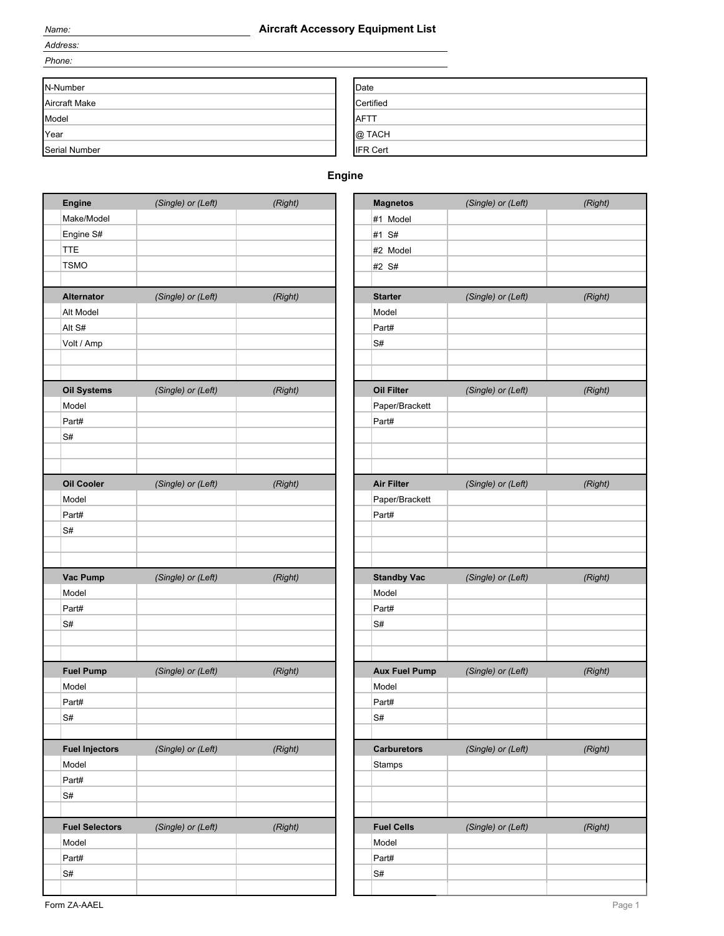#### *Name:* **Aircraft Accessory Equipment List**

*Address: Phone:*

| N-Number             | Date            |
|----------------------|-----------------|
| <b>Aircraft Make</b> | Certified       |
| Model                | <b>AFTT</b>     |
| Year                 | @ TACH          |
| Serial Number        | <b>IFR Cert</b> |

## **Engine**

| Engine                                        | (Single) or (Left) | (Right) | <b>Magnetos</b>      | (Single) or (Left) | (Right) |
|-----------------------------------------------|--------------------|---------|----------------------|--------------------|---------|
| Make/Model                                    |                    |         | #1 Model             |                    |         |
| Engine S#                                     |                    |         | #1 S#                |                    |         |
| <b>TTE</b>                                    |                    |         | #2 Model             |                    |         |
| <b>TSMO</b>                                   |                    |         | #2 S#                |                    |         |
|                                               |                    |         |                      |                    |         |
| <b>Alternator</b>                             | (Single) or (Left) | (Right) | <b>Starter</b>       | (Single) or (Left) | (Right) |
| Alt Model                                     |                    |         | Model                |                    |         |
| Alt S#                                        |                    |         | Part#                |                    |         |
| Volt / Amp                                    |                    |         | S#                   |                    |         |
|                                               |                    |         |                      |                    |         |
| <b>Oil Systems</b>                            | (Single) or (Left) | (Right) | Oil Filter           | (Single) or (Left) | (Right) |
| Model                                         |                    |         | Paper/Brackett       |                    |         |
| Part#                                         |                    |         | Part#                |                    |         |
| S#                                            |                    |         |                      |                    |         |
|                                               |                    |         |                      |                    |         |
|                                               |                    |         |                      |                    |         |
| <b>Oil Cooler</b>                             | (Single) or (Left) | (Right) | <b>Air Filter</b>    | (Single) or (Left) | (Right) |
| Model                                         |                    |         | Paper/Brackett       |                    |         |
| Part#                                         |                    |         | Part#                |                    |         |
| S#                                            |                    |         |                      |                    |         |
|                                               |                    |         |                      |                    |         |
| Vac Pump                                      | (Single) or (Left) | (Right) | <b>Standby Vac</b>   | (Single) or (Left) | (Right) |
| Model                                         |                    |         | Model                |                    |         |
| Part#                                         |                    |         | Part#                |                    |         |
| S#                                            |                    |         | S#                   |                    |         |
|                                               |                    |         |                      |                    |         |
| <b>Fuel Pump</b>                              | (Single) or (Left) | (Right) | <b>Aux Fuel Pump</b> | (Single) or (Left) | (Right) |
| Model                                         |                    |         | Model                |                    |         |
| Part#                                         |                    |         | Part#                |                    |         |
| S#                                            |                    |         | S#                   |                    |         |
|                                               |                    |         |                      |                    |         |
| <b>Fuel Injectors</b>                         | (Single) or (Left) | (Right) | <b>Carburetors</b>   | (Single) or (Left) | (Right) |
| Model                                         |                    |         | Stamps               |                    |         |
| Part#                                         |                    |         |                      |                    |         |
| S#                                            |                    |         |                      |                    |         |
|                                               |                    |         |                      |                    |         |
|                                               | (Single) or (Left) | (Right) | <b>Fuel Cells</b>    | (Single) or (Left) | (Right) |
|                                               |                    |         |                      |                    |         |
|                                               |                    |         | Model                |                    |         |
| <b>Fuel Selectors</b><br>Model<br>Part#<br>S# |                    |         | Part#<br>S#          |                    |         |

| <b>Magnetos</b>      | (Single) or (Left) | (Right) |
|----------------------|--------------------|---------|
| #1 Model             |                    |         |
| #1 S#                |                    |         |
| #2 Model             |                    |         |
|                      |                    |         |
| #2 S#                |                    |         |
| <b>Starter</b>       | (Single) or (Left) | (Right) |
| Model                |                    |         |
| Part#                |                    |         |
|                      |                    |         |
| S#                   |                    |         |
|                      |                    |         |
|                      |                    |         |
| Oil Filter           | (Single) or (Left) | (Right) |
| Paper/Brackett       |                    |         |
| Part#                |                    |         |
|                      |                    |         |
|                      |                    |         |
|                      |                    |         |
| <b>Air Filter</b>    | (Single) or (Left) | (Right) |
| Paper/Brackett       |                    |         |
| Part#                |                    |         |
|                      |                    |         |
|                      |                    |         |
|                      |                    |         |
| <b>Standby Vac</b>   | (Single) or (Left) | (Right) |
| Model                |                    |         |
| Part#                |                    |         |
| S#                   |                    |         |
|                      |                    |         |
|                      |                    |         |
| <b>Aux Fuel Pump</b> | (Single) or (Left) | (Right) |
| Model                |                    |         |
| Part#                |                    |         |
| S#                   |                    |         |
|                      |                    |         |
| <b>Carburetors</b>   | (Single) or (Left) | (Right) |
| Stamps               |                    |         |
|                      |                    |         |
|                      |                    |         |
|                      |                    |         |
| <b>Fuel Cells</b>    | (Single) or (Left) | (Right) |
| Model                |                    |         |
| Part#                |                    |         |
| S#                   |                    |         |
|                      |                    |         |
|                      |                    |         |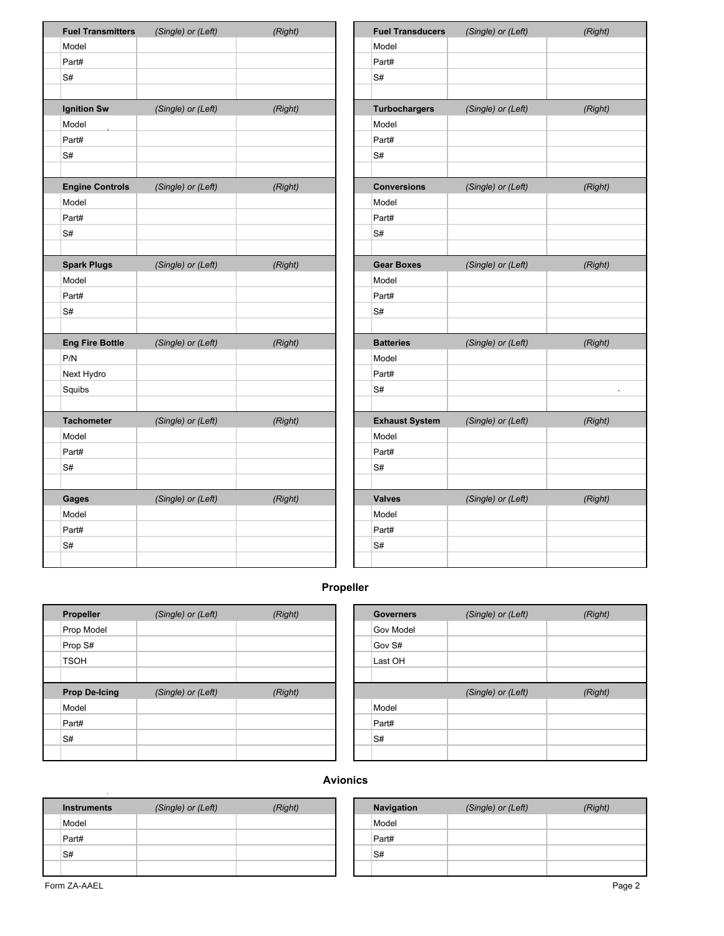| <b>Fuel Transmitters</b> | (Single) or (Left) | (Right) |                       | <b>Fuel Transducers</b> |
|--------------------------|--------------------|---------|-----------------------|-------------------------|
| Model                    |                    |         |                       | Model                   |
| Part#                    |                    |         |                       | Part#                   |
| S#                       |                    |         |                       | S#                      |
|                          |                    |         |                       |                         |
| <b>Ignition Sw</b>       | (Single) or (Left) | (Right) |                       | Turbochargers           |
| Model                    |                    |         | Model                 |                         |
| Part#                    |                    |         | Part#                 |                         |
| S#                       |                    |         | S#                    |                         |
|                          |                    |         |                       |                         |
| <b>Engine Controls</b>   | (Single) or (Left) | (Right) | <b>Conversions</b>    |                         |
| Model                    |                    |         | Model                 |                         |
| Part#                    |                    |         | Part#                 |                         |
| S#                       |                    |         | S#                    |                         |
|                          |                    |         |                       |                         |
| <b>Spark Plugs</b>       | (Single) or (Left) | (Right) | <b>Gear Boxes</b>     |                         |
| Model                    |                    |         | Model                 |                         |
| Part#                    |                    |         | Part#                 |                         |
| S#                       |                    |         | S#                    |                         |
|                          |                    |         |                       |                         |
| <b>Eng Fire Bottle</b>   | (Single) or (Left) | (Right) | <b>Batteries</b>      |                         |
| P/N                      |                    |         | Model<br>Part#        |                         |
| Next Hydro               |                    |         | S#                    |                         |
| Squibs                   |                    |         |                       |                         |
| <b>Tachometer</b>        | (Single) or (Left) | (Right) | <b>Exhaust System</b> |                         |
| Model                    |                    |         | Model                 |                         |
| Part#                    |                    |         | Part#                 |                         |
| S#                       |                    |         | S#                    |                         |
|                          |                    |         |                       |                         |
| Gages                    | (Single) or (Left) | (Right) | <b>Valves</b>         |                         |
| Model                    |                    |         | Model                 |                         |
| Part#                    |                    |         | Part#                 |                         |
| S#                       |                    |         | S#                    |                         |
|                          |                    |         |                       |                         |

# **Propeller**

| Propeller            | (Single) or (Left) | (Right) | <b>Governers</b> | (Single) or (Left) |
|----------------------|--------------------|---------|------------------|--------------------|
| Prop Model           |                    |         | Gov Model        |                    |
| Prop S#              |                    |         | Gov S#           |                    |
| <b>TSOH</b>          |                    |         | Last OH          |                    |
|                      |                    |         |                  |                    |
| <b>Prop De-Icing</b> | (Single) or (Left) | (Right) |                  | (Single) or (Left) |
| Model                |                    |         | Model            |                    |
| Part#                |                    |         | Part#            |                    |
| S#                   |                    |         | S#               |                    |
|                      |                    |         |                  |                    |

| <b>Governers</b> | (Single) or (Left) | (Right) |
|------------------|--------------------|---------|
| <b>Gov Model</b> |                    |         |
| Gov S#           |                    |         |
| Last OH          |                    |         |
|                  |                    |         |
|                  |                    |         |
|                  | (Single) or (Left) | (Right) |
| Model            |                    |         |
| Part#            |                    |         |
| S#               |                    |         |

### **Avionics**

| <b>Instruments</b> | (Single) or (Left) | (Right) | Navigation | (Single) or (Left) | (Right) |
|--------------------|--------------------|---------|------------|--------------------|---------|
| Model              |                    |         | Model      |                    |         |
| Part#              |                    |         | Part#      |                    |         |
| S#                 |                    |         | S#         |                    |         |
|                    |                    |         |            |                    |         |

| <b>Navigation</b> | (Single) or (Left) | (Right) |
|-------------------|--------------------|---------|
| Model             |                    |         |
| Part#             |                    |         |
| S#                |                    |         |
|                   |                    |         |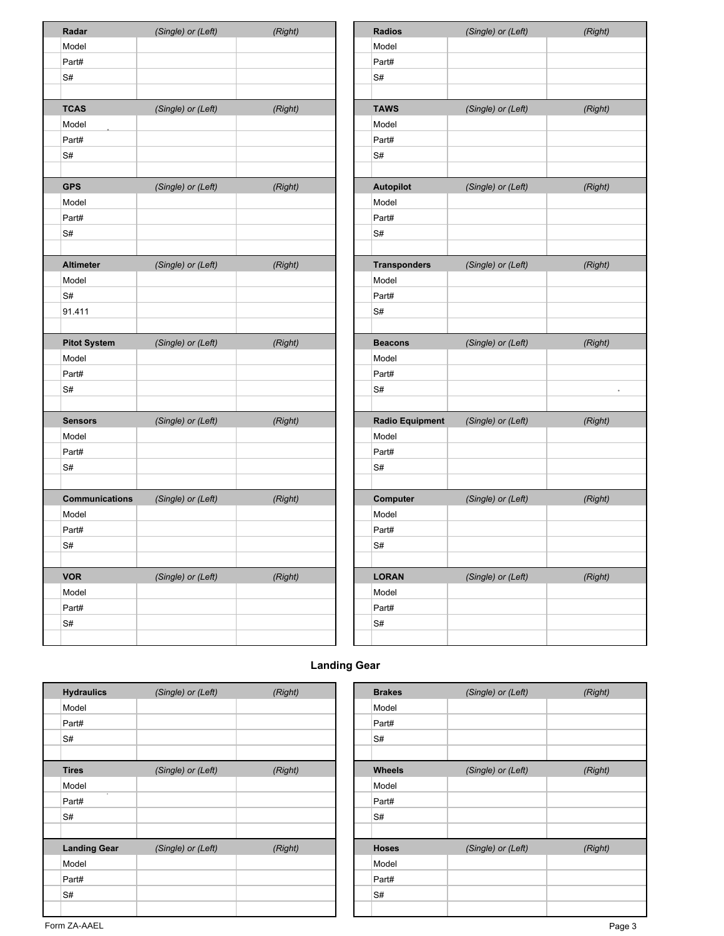| Radar                 | (Single) or (Left) | (Right) | <b>Radios</b>          | (Single) or (Left) | (Right) |
|-----------------------|--------------------|---------|------------------------|--------------------|---------|
| Model                 |                    |         | Model                  |                    |         |
| Part#                 |                    |         | Part#                  |                    |         |
| S#                    |                    |         | S#                     |                    |         |
|                       |                    |         |                        |                    |         |
| <b>TCAS</b>           | (Single) or (Left) | (Right) | <b>TAWS</b>            | (Single) or (Left) | (Right) |
| Model                 |                    |         | Model                  |                    |         |
| Part#                 |                    |         | Part#                  |                    |         |
| S#                    |                    |         | S#                     |                    |         |
|                       |                    |         |                        |                    |         |
| <b>GPS</b>            | (Single) or (Left) | (Right) | Autopilot              | (Single) or (Left) | (Right) |
| Model                 |                    |         | Model                  |                    |         |
| Part#                 |                    |         | Part#                  |                    |         |
| S#                    |                    |         | S#                     |                    |         |
|                       |                    |         |                        |                    |         |
| <b>Altimeter</b>      | (Single) or (Left) | (Right) | <b>Transponders</b>    | (Single) or (Left) | (Right) |
| Model                 |                    |         | Model                  |                    |         |
| S#                    |                    |         | Part#                  |                    |         |
| 91.411                |                    |         | S#                     |                    |         |
|                       |                    |         |                        |                    |         |
| <b>Pitot System</b>   | (Single) or (Left) | (Right) | <b>Beacons</b>         | (Single) or (Left) | (Right) |
| Model                 |                    |         | Model                  |                    |         |
| Part#                 |                    |         | Part#                  |                    |         |
| S#                    |                    |         | S#                     |                    |         |
|                       |                    |         |                        |                    |         |
| <b>Sensors</b>        | (Single) or (Left) | (Right) | <b>Radio Equipment</b> | (Single) or (Left) | (Right) |
| Model                 |                    |         | Model                  |                    |         |
| Part#                 |                    |         | Part#                  |                    |         |
| S#                    |                    |         | S#                     |                    |         |
|                       |                    |         |                        |                    |         |
| <b>Communications</b> | (Single) or (Left) | (Right) | Computer               | (Single) or (Left) | (Right) |
| Model                 |                    |         | Model                  |                    |         |
| Part#                 |                    |         | Part#                  |                    |         |
| S#                    |                    |         | S#                     |                    |         |
|                       |                    |         |                        |                    |         |
| <b>VOR</b>            | (Single) or (Left) | (Right) | <b>LORAN</b>           | (Single) or (Left) | (Right) |
| Model                 |                    |         | Model                  |                    |         |
| Part#                 |                    |         | Part#                  |                    |         |
| S#                    |                    |         | S#                     |                    |         |

| Radios              | (Single) or (Left)                 | (Right) |
|---------------------|------------------------------------|---------|
| Model               |                                    |         |
| Part#               |                                    |         |
| S#                  |                                    |         |
|                     |                                    |         |
| TAWS                | (Single) or (Left)                 | (Right) |
| Model               |                                    |         |
| Part#               |                                    |         |
| S#                  |                                    |         |
|                     |                                    |         |
| <b>Autopilot</b>    | (Single) or (Left)                 | (Right) |
| Model               |                                    |         |
| Part#               |                                    |         |
| S#                  |                                    |         |
|                     |                                    |         |
| <b>Transponders</b> | (Single) or (Left)                 | (Right) |
| Model               |                                    |         |
| Part#               |                                    |         |
| S#                  |                                    |         |
|                     |                                    |         |
|                     |                                    |         |
| <b>Beacons</b>      | (Single) or (Left)                 | (Right) |
| Model               |                                    |         |
| Part#               |                                    |         |
| S#                  |                                    |         |
|                     |                                    |         |
|                     | Radio Equipment (Single) or (Left) | (Right) |
| Model               |                                    |         |
| Part#               |                                    |         |
| S#                  |                                    |         |
|                     |                                    |         |
| Computer            | (Single) or (Left)                 | (Right) |
| Model               |                                    |         |
| Part#               |                                    |         |
| S#                  |                                    |         |
|                     |                                    |         |
| <b>LORAN</b>        | (Single) or (Left)                 | (Right) |
| Model               |                                    |         |
| Part#               |                                    |         |
| S#                  |                                    |         |

## **Landing Gear**

| <b>Hydraulics</b>   | (Single) or (Left) | (Right) | <b>Brakes</b> | (Single) or (Left) | (Right) |
|---------------------|--------------------|---------|---------------|--------------------|---------|
| Model               |                    |         | Model         |                    |         |
| Part#               |                    |         | Part#         |                    |         |
| S#                  |                    |         | S#            |                    |         |
| <b>Tires</b>        | (Single) or (Left) | (Right) | <b>Wheels</b> | (Single) or (Left) | (Right) |
| Model               |                    |         | Model         |                    |         |
| $\bullet$<br>Part#  |                    |         | Part#         |                    |         |
| S#                  |                    |         | S#            |                    |         |
| <b>Landing Gear</b> | (Single) or (Left) | (Right) | <b>Hoses</b>  | (Single) or (Left) | (Right) |
| Model               |                    |         | Model         |                    |         |
| Part#               |                    |         | Part#         |                    |         |
|                     |                    |         | S#            |                    |         |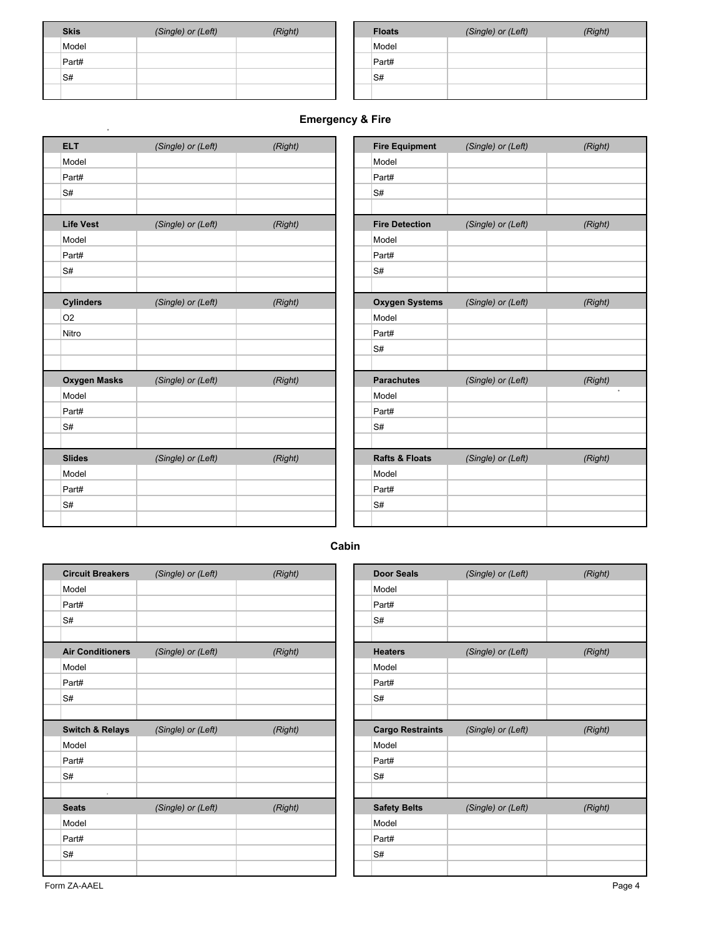| <b>Skis</b> | (Single) or (Left) | (Right) | <b>Floats</b> | (Single) or (Left) | (Right) |
|-------------|--------------------|---------|---------------|--------------------|---------|
| Model       |                    |         | Model         |                    |         |
| Part#       |                    |         | Part#         |                    |         |
| S#          |                    |         | S#            |                    |         |
|             |                    |         |               |                    |         |

| <b>Floats</b> | (Single) or (Left) | (Right) |
|---------------|--------------------|---------|
| Model         |                    |         |
| Part#         |                    |         |
| S#            |                    |         |
|               |                    |         |

## **Emergency & Fire**

| <b>ELT</b>          | (Single) or (Left) | (Right) | <b>Fire Equipment</b>     | (Single) or (Left) | (Right) |
|---------------------|--------------------|---------|---------------------------|--------------------|---------|
| Model               |                    |         | Model                     |                    |         |
| Part#               |                    |         | Part#                     |                    |         |
| S#                  |                    |         | S#                        |                    |         |
| <b>Life Vest</b>    | (Single) or (Left) | (Right) | <b>Fire Detection</b>     | (Single) or (Left) | (Right) |
| Model               |                    |         | Model                     |                    |         |
| Part#               |                    |         | Part#                     |                    |         |
| S#                  |                    |         | S#                        |                    |         |
| <b>Cylinders</b>    | (Single) or (Left) | (Right) | <b>Oxygen Systems</b>     | (Single) or (Left) | (Right) |
| O <sub>2</sub>      |                    |         | Model                     |                    |         |
| Nitro               |                    |         | Part#                     |                    |         |
|                     |                    |         | S#                        |                    |         |
| <b>Oxygen Masks</b> | (Single) or (Left) | (Right) | <b>Parachutes</b>         | (Single) or (Left) | (Right) |
| Model               |                    |         | Model                     |                    |         |
| Part#               |                    |         | Part#                     |                    |         |
| S#                  |                    |         | S#                        |                    |         |
| <b>Slides</b>       | (Single) or (Left) | (Right) | <b>Rafts &amp; Floats</b> | (Single) or (Left) | (Right) |
| Model               |                    |         | Model                     |                    |         |
| Part#               |                    |         | Part#                     |                    |         |
| S#                  |                    |         | S#                        |                    |         |

| <b>Fire Equipment</b>     | (Single) or (Left) | (Right) |
|---------------------------|--------------------|---------|
| Model                     |                    |         |
| Part#                     |                    |         |
| S#                        |                    |         |
|                           |                    |         |
| <b>Fire Detection</b>     | (Single) or (Left) | (Right) |
| Model                     |                    |         |
| Part#                     |                    |         |
| S#                        |                    |         |
|                           |                    |         |
| <b>Oxygen Systems</b>     | (Single) or (Left) | (Right) |
| Model                     |                    |         |
| Part#                     |                    |         |
| S#                        |                    |         |
|                           |                    |         |
| <b>Parachutes</b>         | (Single) or (Left) | (Right) |
| Model                     |                    | ٠       |
| Part#                     |                    |         |
| S#                        |                    |         |
|                           |                    |         |
| <b>Rafts &amp; Floats</b> | (Single) or (Left) | (Right) |
| Model                     |                    |         |
| Part#                     |                    |         |
| S#                        |                    |         |
|                           |                    |         |

**Cabin**

| <b>Circuit Breakers</b>      | (Single) or (Left) | (Right) | <b>Door Seals</b>       | (Single) or (Left) |
|------------------------------|--------------------|---------|-------------------------|--------------------|
| Model                        |                    |         | Model                   |                    |
| Part#                        |                    |         | Part#                   |                    |
| S#                           |                    |         | S#                      |                    |
| <b>Air Conditioners</b>      | (Single) or (Left) | (Right) | <b>Heaters</b>          | (Single) or (Left) |
| Model                        |                    |         | Model                   |                    |
| Part#                        |                    |         | Part#                   |                    |
| S#                           |                    |         | S#                      |                    |
| <b>Switch &amp; Relays</b>   | (Single) or (Left) | (Right) | <b>Cargo Restraints</b> | (Single) or (Left) |
| Model                        |                    |         | Model                   |                    |
| Part#                        |                    |         | Part#                   |                    |
| S#                           |                    |         | S#                      |                    |
| $\mathbf{r}$<br><b>Seats</b> | (Single) or (Left) | (Right) | <b>Safety Belts</b>     | (Single) or (Left) |
| Model                        |                    |         | Model                   |                    |
| Part#                        |                    |         | Part#                   |                    |
| S#                           |                    |         | S#                      |                    |
|                              |                    |         |                         |                    |

| <b>Door Seals</b>       | (Single) or (Left) | (Right) |
|-------------------------|--------------------|---------|
| Model                   |                    |         |
| Part#                   |                    |         |
| S#                      |                    |         |
|                         |                    |         |
| <b>Heaters</b>          | (Single) or (Left) | (Right) |
| Model                   |                    |         |
| Part#                   |                    |         |
| S#                      |                    |         |
|                         |                    |         |
|                         |                    |         |
| <b>Cargo Restraints</b> | (Single) or (Left) | (Right) |
| Model                   |                    |         |
| Part#                   |                    |         |
| S#                      |                    |         |
|                         |                    |         |
| <b>Safety Belts</b>     | (Single) or (Left) | (Right) |
| Model                   |                    |         |
| Part#                   |                    |         |
| S#                      |                    |         |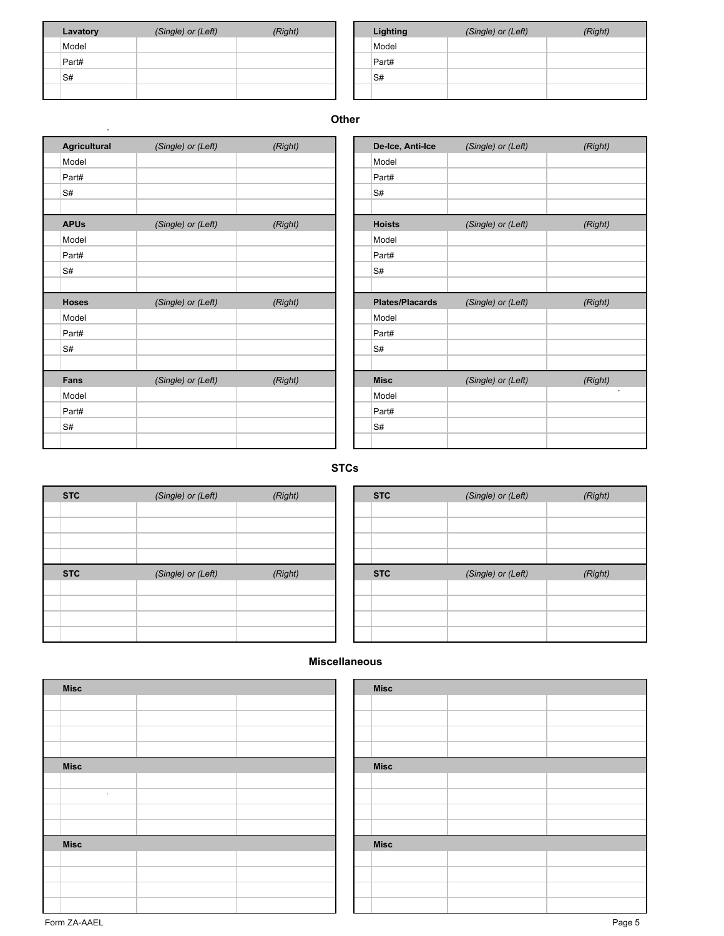| Lavatory | (Single) or (Left) | (Right) | Lighting | (Single) or (Left) | (Right) |
|----------|--------------------|---------|----------|--------------------|---------|
| Model    |                    |         | Model    |                    |         |
| Part#    |                    |         | Part#    |                    |         |
| S#       |                    |         | S#       |                    |         |
|          |                    |         |          |                    |         |

.

| Lighting | (Single) or (Left) | (Right) |
|----------|--------------------|---------|
| Model    |                    |         |
| Part#    |                    |         |
| S#       |                    |         |
|          |                    |         |

#### **Other**

| <b>Agricultural</b> | (Single) or (Left) | (Right) | De-Ice, Anti-Ice       | (Single) or (Left) |
|---------------------|--------------------|---------|------------------------|--------------------|
| Model               |                    |         | Model                  |                    |
| Part#               |                    |         | Part#                  |                    |
| S#                  |                    |         | S#                     |                    |
|                     |                    |         |                        |                    |
| <b>APUs</b>         | (Single) or (Left) | (Right) | <b>Hoists</b>          | (Single) or (Left) |
| Model               |                    |         | Model                  |                    |
| Part#               |                    |         | Part#                  |                    |
| S#                  |                    |         | S#                     |                    |
| <b>Hoses</b>        | (Single) or (Left) | (Right) | <b>Plates/Placards</b> | (Single) or (Left) |
| Model               |                    |         | Model                  |                    |
| Part#               |                    |         | Part#                  |                    |
| S#                  |                    |         | S#                     |                    |
| Fans                | (Single) or (Left) | (Right) | <b>Misc</b>            | (Single) or (Left) |
| Model               |                    |         | Model                  |                    |
|                     |                    |         | Part#                  |                    |
| Part#               |                    |         |                        |                    |

| Model<br>Part#<br>S#<br><b>Hoists</b><br>(Single) or (Left)<br>(Right)<br>Model<br>Part#<br>S#<br><b>Plates/Placards</b><br>(Single) or (Left)<br>(Right)<br>Model<br>Part#<br>S#<br><b>Misc</b><br>(Single) or (Left)<br>(Right)<br>Model<br>Part#<br>S# | De-Ice, Anti-Ice | (Single) or (Left) | (Right) |
|-----------------------------------------------------------------------------------------------------------------------------------------------------------------------------------------------------------------------------------------------------------|------------------|--------------------|---------|
|                                                                                                                                                                                                                                                           |                  |                    |         |
|                                                                                                                                                                                                                                                           |                  |                    |         |
|                                                                                                                                                                                                                                                           |                  |                    |         |
|                                                                                                                                                                                                                                                           |                  |                    |         |
|                                                                                                                                                                                                                                                           |                  |                    |         |
|                                                                                                                                                                                                                                                           |                  |                    |         |
|                                                                                                                                                                                                                                                           |                  |                    |         |
|                                                                                                                                                                                                                                                           |                  |                    |         |
|                                                                                                                                                                                                                                                           |                  |                    |         |
|                                                                                                                                                                                                                                                           |                  |                    |         |
|                                                                                                                                                                                                                                                           |                  |                    |         |
|                                                                                                                                                                                                                                                           |                  |                    |         |
|                                                                                                                                                                                                                                                           |                  |                    |         |
|                                                                                                                                                                                                                                                           |                  |                    |         |
|                                                                                                                                                                                                                                                           |                  |                    |         |
|                                                                                                                                                                                                                                                           |                  |                    |         |
|                                                                                                                                                                                                                                                           |                  |                    |         |
|                                                                                                                                                                                                                                                           |                  |                    |         |
|                                                                                                                                                                                                                                                           |                  |                    |         |

### **STCs**

| <b>STC</b> | (Single) or (Left) | (Right) | <b>STC</b> | (Single) or (Left) | (Right) |
|------------|--------------------|---------|------------|--------------------|---------|
|            |                    |         |            |                    |         |
|            |                    |         |            |                    |         |
|            |                    |         |            |                    |         |
|            |                    |         |            |                    |         |
| <b>STC</b> | (Single) or (Left) | (Right) | <b>STC</b> | (Single) or (Left) | (Right) |
|            |                    |         |            |                    |         |
|            |                    |         |            |                    |         |
|            |                    |         |            |                    |         |
|            |                    |         |            |                    |         |

| <b>STC</b> | (Single) or (Left) | (Right) |
|------------|--------------------|---------|
|            |                    |         |
|            |                    |         |
|            |                    |         |
|            |                    |         |
|            |                    |         |
| <b>STC</b> | (Single) or (Left) | (Right) |
|            |                    |         |
|            |                    |         |
|            |                    |         |

#### **Miscellaneous**

| <b>Misc</b> |  | <b>Misc</b> |
|-------------|--|-------------|
|             |  |             |
|             |  |             |
|             |  |             |
|             |  |             |
| <b>Misc</b> |  | <b>Misc</b> |
|             |  |             |
| ٠           |  |             |
|             |  |             |
|             |  |             |
| <b>Misc</b> |  | <b>Misc</b> |
|             |  |             |
|             |  |             |
|             |  |             |
|             |  |             |

| <b>Misc</b> |  |
|-------------|--|
|             |  |
|             |  |
|             |  |
|             |  |
| <b>Misc</b> |  |
|             |  |
|             |  |
|             |  |
|             |  |
| <b>Misc</b> |  |
|             |  |
|             |  |
|             |  |
|             |  |